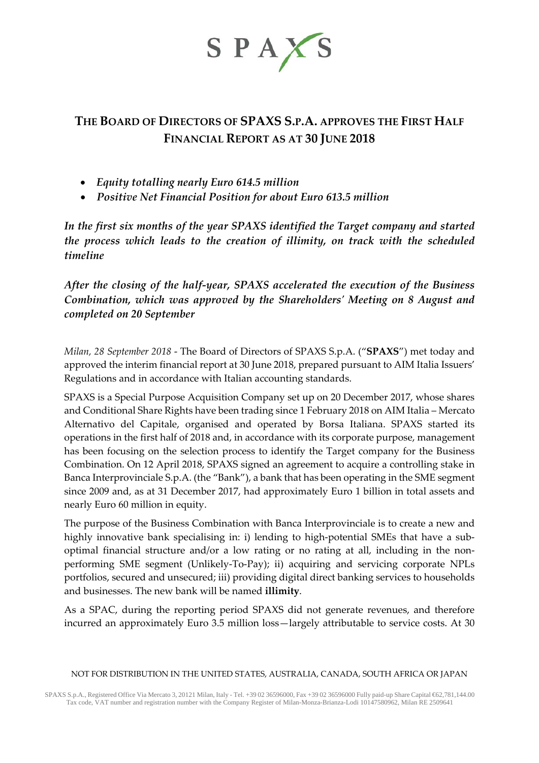

# **THE BOARD OF DIRECTORS OF SPAXS S.P.A. APPROVES THE FIRST HALF FINANCIAL REPORT AS AT 30 JUNE 2018**

- *Equity totalling nearly Euro 614.5 million*
- *Positive Net Financial Position for about Euro 613.5 million*

*In the first six months of the year SPAXS identified the Target company and started the process which leads to the creation of illimity, on track with the scheduled timeline*

*After the closing of the half-year, SPAXS accelerated the execution of the Business Combination, which was approved by the Shareholders' Meeting on 8 August and completed on 20 September*

*Milan, 28 September 2018* - The Board of Directors of SPAXS S.p.A. ("**SPAXS**") met today and approved the interim financial report at 30 June 2018, prepared pursuant to AIM Italia Issuers' Regulations and in accordance with Italian accounting standards.

SPAXS is a Special Purpose Acquisition Company set up on 20 December 2017, whose shares and Conditional Share Rights have been trading since 1 February 2018 on AIM Italia – Mercato Alternativo del Capitale, organised and operated by Borsa Italiana. SPAXS started its operations in the first half of 2018 and, in accordance with its corporate purpose, management has been focusing on the selection process to identify the Target company for the Business Combination. On 12 April 2018, SPAXS signed an agreement to acquire a controlling stake in Banca Interprovinciale S.p.A. (the "Bank"), a bank that has been operating in the SME segment since 2009 and, as at 31 December 2017, had approximately Euro 1 billion in total assets and nearly Euro 60 million in equity.

The purpose of the Business Combination with Banca Interprovinciale is to create a new and highly innovative bank specialising in: i) lending to high-potential SMEs that have a suboptimal financial structure and/or a low rating or no rating at all, including in the nonperforming SME segment (Unlikely-To-Pay); ii) acquiring and servicing corporate NPLs portfolios, secured and unsecured; iii) providing digital direct banking services to households and businesses. The new bank will be named **illimity**.

As a SPAC, during the reporting period SPAXS did not generate revenues, and therefore incurred an approximately Euro 3.5 million loss—largely attributable to service costs. At 30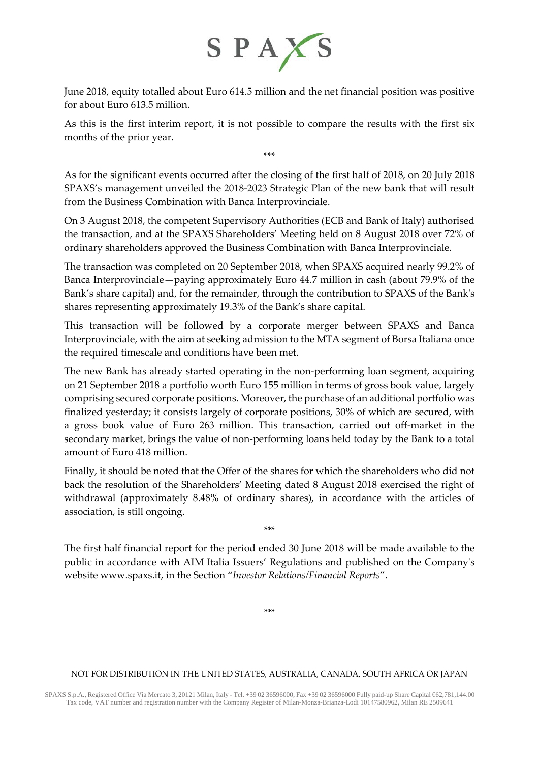

June 2018, equity totalled about Euro 614.5 million and the net financial position was positive for about Euro 613.5 million.

As this is the first interim report, it is not possible to compare the results with the first six months of the prior year.

\*\*\*

As for the significant events occurred after the closing of the first half of 2018, on 20 July 2018 SPAXS's management unveiled the 2018-2023 Strategic Plan of the new bank that will result from the Business Combination with Banca Interprovinciale.

On 3 August 2018, the competent Supervisory Authorities (ECB and Bank of Italy) authorised the transaction, and at the SPAXS Shareholders' Meeting held on 8 August 2018 over 72% of ordinary shareholders approved the Business Combination with Banca Interprovinciale.

The transaction was completed on 20 September 2018, when SPAXS acquired nearly 99.2% of Banca Interprovinciale—paying approximately Euro 44.7 million in cash (about 79.9% of the Bank's share capital) and, for the remainder, through the contribution to SPAXS of the Bank's shares representing approximately 19.3% of the Bank's share capital.

This transaction will be followed by a corporate merger between SPAXS and Banca Interprovinciale, with the aim at seeking admission to the MTA segment of Borsa Italiana once the required timescale and conditions have been met.

The new Bank has already started operating in the non-performing loan segment, acquiring on 21 September 2018 a portfolio worth Euro 155 million in terms of gross book value, largely comprising secured corporate positions. Moreover, the purchase of an additional portfolio was finalized yesterday; it consists largely of corporate positions, 30% of which are secured, with a gross book value of Euro 263 million. This transaction, carried out off-market in the secondary market, brings the value of non-performing loans held today by the Bank to a total amount of Euro 418 million.

Finally, it should be noted that the Offer of the shares for which the shareholders who did not back the resolution of the Shareholders' Meeting dated 8 August 2018 exercised the right of withdrawal (approximately 8.48% of ordinary shares), in accordance with the articles of association, is still ongoing.

The first half financial report for the period ended 30 June 2018 will be made available to the public in accordance with AIM Italia Issuers' Regulations and published on the Company's website [www.spaxs.it,](http://www.spaxs.it/) in the Section "*Investor Relations/Financial Reports*".

\*\*\*

\*\*\*

### NOT FOR DISTRIBUTION IN THE UNITED STATES, AUSTRALIA, CANADA, SOUTH AFRICA OR JAPAN

SPAXS S.p.A., Registered Office Via Mercato 3, 20121 Milan, Italy - Tel. +39 02 36596000, Fax +39 02 36596000 Fully paid-up Share Capital €62,781,144.00 Tax code, VAT number and registration number with the Company Register of Milan-Monza-Brianza-Lodi 10147580962, Milan RE 2509641